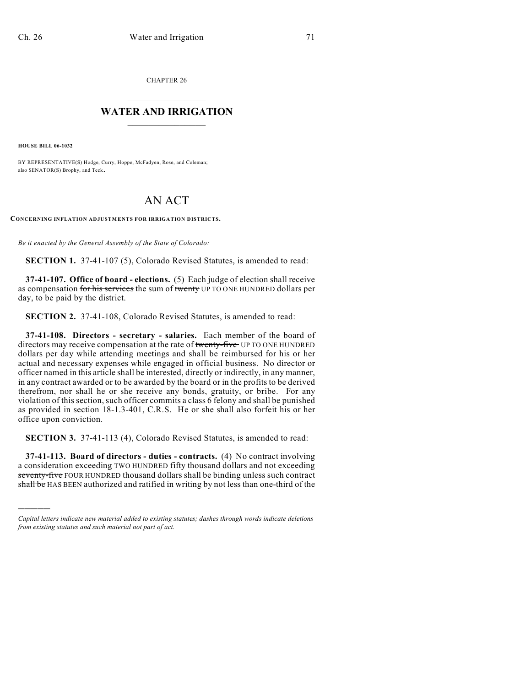CHAPTER 26

## $\mathcal{L}_\text{max}$  . The set of the set of the set of the set of the set of the set of the set of the set of the set of the set of the set of the set of the set of the set of the set of the set of the set of the set of the set **WATER AND IRRIGATION**  $\_$   $\_$

**HOUSE BILL 06-1032**

)))))

BY REPRESENTATIVE(S) Hodge, Curry, Hoppe, McFadyen, Rose, and Coleman; also SENATOR(S) Brophy, and Teck.

## AN ACT

**CONCERNING INFLATION ADJUSTMENTS FOR IRRIGATION DISTRICTS.**

*Be it enacted by the General Assembly of the State of Colorado:*

**SECTION 1.** 37-41-107 (5), Colorado Revised Statutes, is amended to read:

**37-41-107. Office of board - elections.** (5) Each judge of election shall receive as compensation for his services the sum of twenty UP TO ONE HUNDRED dollars per day, to be paid by the district.

**SECTION 2.** 37-41-108, Colorado Revised Statutes, is amended to read:

**37-41-108. Directors - secretary - salaries.** Each member of the board of directors may receive compensation at the rate of twenty-five UP TO ONE HUNDRED dollars per day while attending meetings and shall be reimbursed for his or her actual and necessary expenses while engaged in official business. No director or officer named in this article shall be interested, directly or indirectly, in any manner, in any contract awarded or to be awarded by the board or in the profits to be derived therefrom, nor shall he or she receive any bonds, gratuity, or bribe. For any violation of this section, such officer commits a class 6 felony and shall be punished as provided in section 18-1.3-401, C.R.S. He or she shall also forfeit his or her office upon conviction.

**SECTION 3.** 37-41-113 (4), Colorado Revised Statutes, is amended to read:

**37-41-113. Board of directors - duties - contracts.** (4) No contract involving a consideration exceeding TWO HUNDRED fifty thousand dollars and not exceeding seventy-five FOUR HUNDRED thousand dollars shall be binding unless such contract shall be HAS BEEN authorized and ratified in writing by not less than one-third of the

*Capital letters indicate new material added to existing statutes; dashes through words indicate deletions from existing statutes and such material not part of act.*